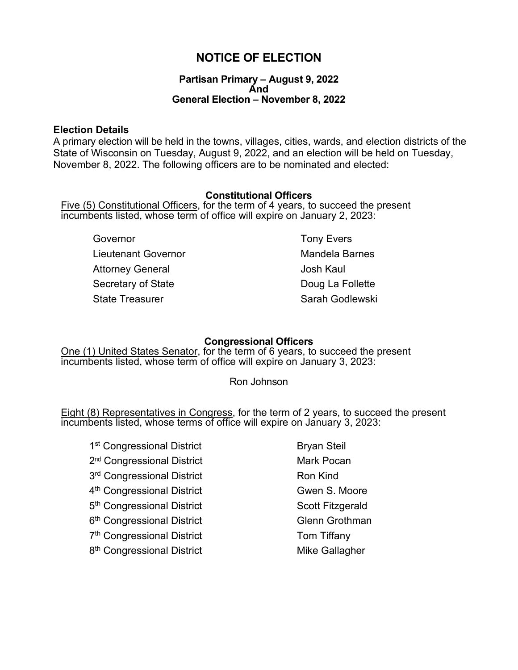# **NOTICE OF ELECTION**

### **Partisan Primary – August 9, 2022 And General Election – November 8, 2022**

### **Election Details**

A primary election will be held in the towns, villages, cities, wards, and election districts of the State of Wisconsin on Tuesday, August 9, 2022, and an election will be held on Tuesday, November 8, 2022. The following officers are to be nominated and elected:

### **Constitutional Officers**

Five (5) Constitutional Officers, for the term of 4 years, to succeed the present incumbents listed, whose term of office will expire on January 2, 2023:

Governor **Governor Tony Evers** Lieutenant Governor **Mandela Barnes** Attorney General and The United States and Josh Kaul Secretary of State **Doug La Follette** State Treasurer State Treasurer Sarah Godlewski

### **Congressional Officers**

One (1) United States Senator, for the term of 6 years, to succeed the present incumbents listed, whose term of office will expire on January 3, 2023:

Ron Johnson

Eight (8) Representatives in Congress, for the term of 2 years, to succeed the present incumbents listed, whose terms of office will expire on January 3, 2023:

1<sup>st</sup> Congressional District Bryan Steil 2<sup>nd</sup> Congressional District Mark Pocan 3<sup>rd</sup> Congressional District **Ron Kind** 4<sup>th</sup> Congressional District Gwen S. Moore 5<sup>th</sup> Congressional District Scott Fitzgerald 6<sup>th</sup> Congressional District Glenn Grothman 7<sup>th</sup> Congressional District Tom Tiffany 8<sup>th</sup> Congressional District Mike Gallagher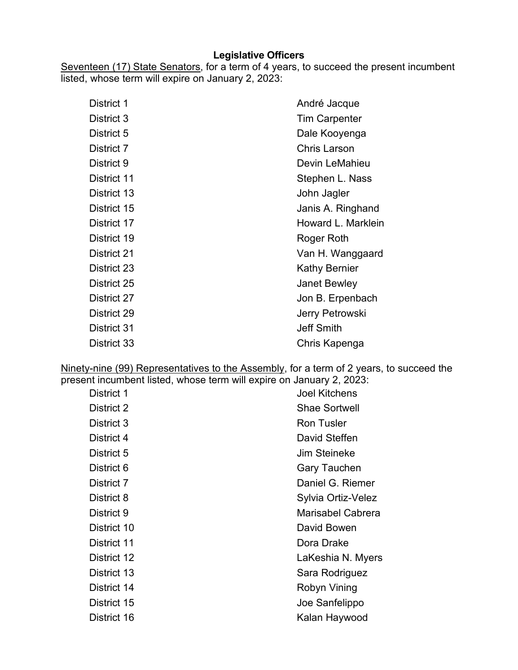## **Legislative Officers**

Seventeen (17) State Senators, for a term of 4 years, to succeed the present incumbent listed, whose term will expire on January 2, 2023:

| District 1  | André Jacque         |
|-------------|----------------------|
| District 3  | <b>Tim Carpenter</b> |
| District 5  | Dale Kooyenga        |
| District 7  | <b>Chris Larson</b>  |
| District 9  | Devin LeMahieu       |
| District 11 | Stephen L. Nass      |
| District 13 | John Jagler          |
| District 15 | Janis A. Ringhand    |
| District 17 | Howard L. Marklein   |
| District 19 | Roger Roth           |
| District 21 | Van H. Wanggaard     |
| District 23 | Kathy Bernier        |
| District 25 | <b>Janet Bewley</b>  |
| District 27 | Jon B. Erpenbach     |
| District 29 | Jerry Petrowski      |
| District 31 | <b>Jeff Smith</b>    |
| District 33 | Chris Kapenga        |

Ninety-nine (99) Representatives to the Assembly, for a term of 2 years, to succeed the present incumbent listed, whose term will expire on January 2, 2023:

| District 1  | <b>Joel Kitchens</b> |
|-------------|----------------------|
| District 2  | <b>Shae Sortwell</b> |
| District 3  | <b>Ron Tusler</b>    |
| District 4  | David Steffen        |
| District 5  | <b>Jim Steineke</b>  |
| District 6  | Gary Tauchen         |
| District 7  | Daniel G. Riemer     |
| District 8  | Sylvia Ortiz-Velez   |
| District 9  | Marisabel Cabrera    |
| District 10 | David Bowen          |
| District 11 | Dora Drake           |
| District 12 | LaKeshia N. Myers    |
| District 13 | Sara Rodriguez       |
| District 14 | Robyn Vining         |
| District 15 | Joe Sanfelippo       |
| District 16 | Kalan Haywood        |
|             |                      |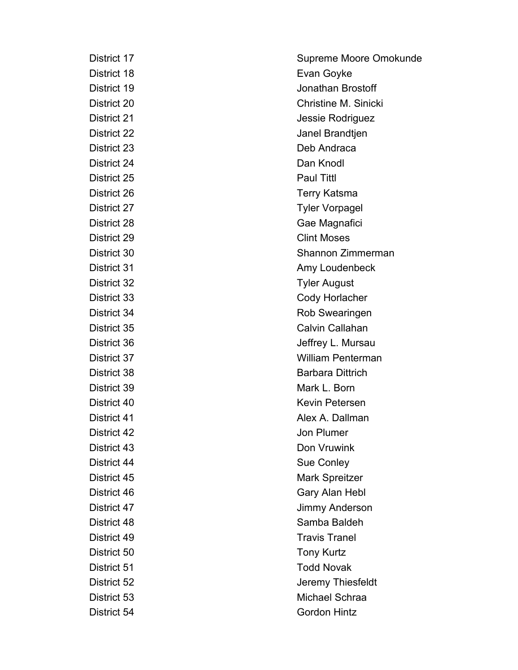District 24 Dan Knodl District 25 Paul Tittl District 30 District 42 Jon Plumer District 50 Tony Kurtz

District 17 Supreme Moore Omokunde District 18 **Evan Goyke** District 19 Jonathan Brostoff District 20 Christine M. Sinicki District 21 **District 21** Jessie Rodriguez District 22 Janel Brandtjen District 23 Deb Andraca District 26 Terry Katsma District 27 Tyler Vorpagel District 28 Gae Magnafici District 29 Clint Moses Shannon Zimmerman District 31 **Amy Loudenbeck** District 32 Tyler August District 33 Cody Horlacher District 34 Rob Swearingen District 35 Calvin Callahan District 36 **Jeffrey L. Mursau** District 37 William Penterman District 38 Barbara Dittrich District 39 Mark L. Born District 40 Kevin Petersen District 41 **Alex A. Dallman** District 43 Don Vruwink District 44 Sue Conley District 45 Mark Spreitzer District 46 Gary Alan Hebl District 47 Jimmy Anderson District 48 Samba Baldeh District 49 Travis Tranel District 51 Todd Novak District 52 Jeremy Thiesfeldt District 53 Michael Schraa District 54 Gordon Hintz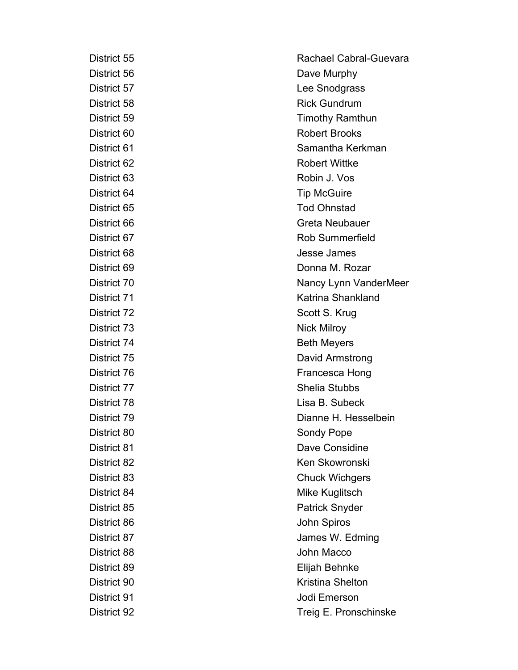District 73 Nick Milroy

District 55 **Rachael Cabral-Guevara** District 56 Dave Murphy District 57 Lee Snodgrass District 58 **Rick Gundrum** District 59 Timothy Ramthun District 60 Robert Brooks District 61 Samantha Kerkman District 62 **Robert Wittke** District 63 Robin J. Vos District 64 Tip McGuire District 65 Tod Ohnstad District 66 Greta Neubauer District 67 **Rob** Summerfield District 68 Jesse James District 69 Donna M. Rozar District 70 Nancy Lynn VanderMeer District 71 Katrina Shankland District 72 Scott S. Krug District 74 Beth Meyers District 75 David Armstrong District 76 Francesca Hong District 77 Shelia Stubbs District 78 Lisa B. Subeck District 79 Dianne H. Hesselbein District 80 Sondy Pope District 81 Dave Considine District 82 Ken Skowronski District 83 Chuck Wichgers District 84 Mike Kuglitsch District 85 **Patrick Snyder** Patrick Snyder District 86 John Spiros District 87 James W. Edming District 88 **District 88** John Macco District 89 Elijah Behnke District 90 Kristina Shelton District 91 **Jodi** Emerson District 92 Treig E. Pronschinske